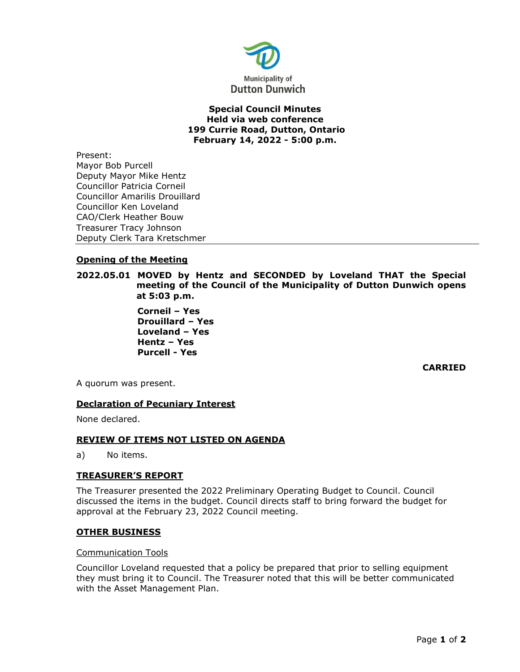

### **Special Council Minutes Held via web conference 199 Currie Road, Dutton, Ontario February 14, 2022 - 5:00 p.m.**

Present: Mayor Bob Purcell Deputy Mayor Mike Hentz Councillor Patricia Corneil Councillor Amarilis Drouillard Councillor Ken Loveland CAO/Clerk Heather Bouw Treasurer Tracy Johnson Deputy Clerk Tara Kretschmer

# **Opening of the Meeting**

**2022.05.01 MOVED by Hentz and SECONDED by Loveland THAT the Special meeting of the Council of the Municipality of Dutton Dunwich opens at 5:03 p.m.**

> **Corneil – Yes Drouillard – Yes Loveland – Yes Hentz – Yes Purcell - Yes**

> > **CARRIED**

A quorum was present.

## **Declaration of Pecuniary Interest**

None declared.

## **REVIEW OF ITEMS NOT LISTED ON AGENDA**

a) No items.

## **TREASURER'S REPORT**

The Treasurer presented the 2022 Preliminary Operating Budget to Council. Council discussed the items in the budget. Council directs staff to bring forward the budget for approval at the February 23, 2022 Council meeting.

#### **OTHER BUSINESS**

#### Communication Tools

Councillor Loveland requested that a policy be prepared that prior to selling equipment they must bring it to Council. The Treasurer noted that this will be better communicated with the Asset Management Plan.